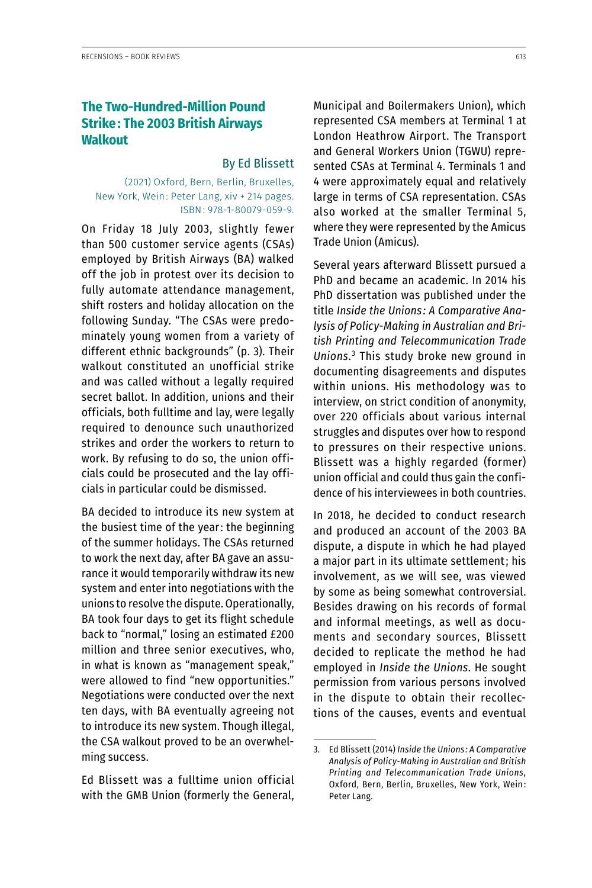## **The Two-Hundred-Million Pound Strike: The 2003 British Airways Walkout**

## By Ed Blissett

## (2021) Oxford, Bern, Berlin, Bruxelles, New York, Wein: Peter Lang, xiv + 214 pages. ISBN: 978-1-80079-059-9.

On Friday 18 July 2003, slightly fewer than 500 customer service agents (CSAs) employed by British Airways (BA) walked off the job in protest over its decision to fully automate attendance management, shift rosters and holiday allocation on the following Sunday. "The CSAs were predominately young women from a variety of different ethnic backgrounds" (p. 3). Their walkout constituted an unofficial strike and was called without a legally required secret ballot. In addition, unions and their officials, both fulltime and lay, were legally required to denounce such unauthorized strikes and order the workers to return to work. By refusing to do so, the union officials could be prosecuted and the lay officials in particular could be dismissed.

BA decided to introduce its new system at the busiest time of the year: the beginning of the summer holidays. The CSAs returned to work the next day, after BA gave an assurance it would temporarily withdraw its new system and enter into negotiations with the unions to resolve the dispute. Operationally, BA took four days to get its flight schedule back to "normal," losing an estimated £200 million and three senior executives, who, in what is known as "management speak," were allowed to find "new opportunities." Negotiations were conducted over the next ten days, with BA eventually agreeing not to introduce its new system. Though illegal, the CSA walkout proved to be an overwhelming success.

Ed Blissett was a fulltime union official with the GMB Union (formerly the General, Municipal and Boilermakers Union), which represented CSA members at Terminal 1 at London Heathrow Airport. The Transport and General Workers Union (TGWU) represented CSAs at Terminal 4. Terminals 1 and 4 were approximately equal and relatively large in terms of CSA representation. CSAs also worked at the smaller Terminal 5, where they were represented by the Amicus Trade Union (Amicus).

Several years afterward Blissett pursued a PhD and became an academic. In 2014 his PhD dissertation was published under the title *Inside the Unions : A Comparative Analysis of Policy-Making in Australian and British Printing and Telecommunication Trade Unions.*<sup>3</sup> This study broke new ground in documenting disagreements and disputes within unions. His methodology was to interview, on strict condition of anonymity, over 220 officials about various internal struggles and disputes over how to respond to pressures on their respective unions. Blissett was a highly regarded (former) union official and could thus gain the confidence of his interviewees in both countries.

In 2018, he decided to conduct research and produced an account of the 2003 BA dispute, a dispute in which he had played a major part in its ultimate settlement; his involvement, as we will see, was viewed by some as being somewhat controversial. Besides drawing on his records of formal and informal meetings, as well as documents and secondary sources, Blissett decided to replicate the method he had employed in *Inside the Unions*. He sought permission from various persons involved in the dispute to obtain their recollections of the causes, events and eventual

<sup>3.</sup> Ed Blissett (2014) *Inside the Unions : A Comparative Analysis of Policy-Making in Australian and British Printing and Telecommunication Trade Unions,*  Oxford, Bern, Berlin, Bruxelles, New York, Wein : Peter Lang.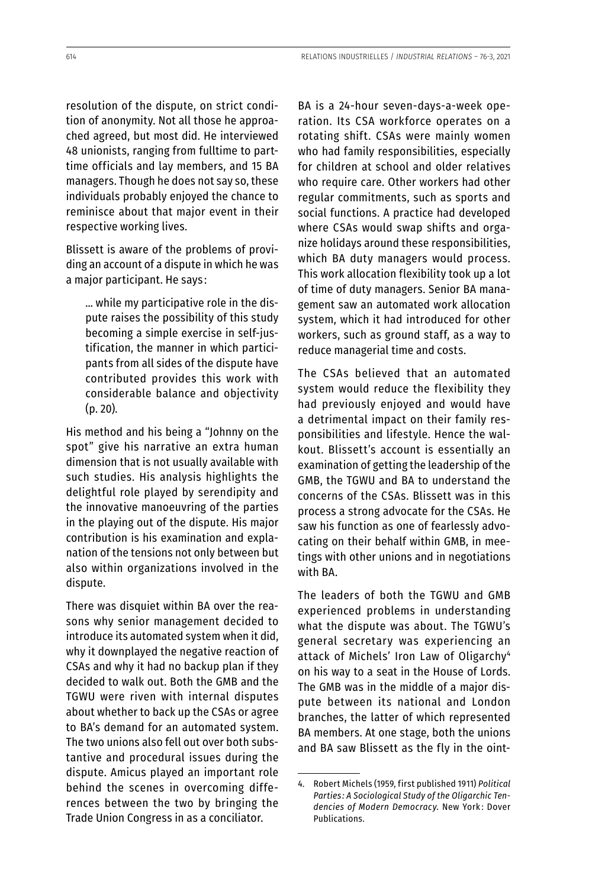resolution of the dispute, on strict condition of anonymity. Not all those he approached agreed, but most did. He interviewed 48 unionists, ranging from fulltime to parttime officials and lay members, and 15 BA managers. Though he does not say so, these individuals probably enjoyed the chance to reminisce about that major event in their respective working lives.

Blissett is aware of the problems of providing an account of a dispute in which he was a major participant. He says :

… while my participative role in the dispute raises the possibility of this study becoming a simple exercise in self-justification, the manner in which participants from all sides of the dispute have contributed provides this work with considerable balance and objectivity (p. 20).

His method and his being a "Johnny on the spot" give his narrative an extra human dimension that is not usually available with such studies. His analysis highlights the delightful role played by serendipity and the innovative manoeuvring of the parties in the playing out of the dispute. His major contribution is his examination and explanation of the tensions not only between but also within organizations involved in the dispute.

There was disquiet within BA over the reasons why senior management decided to introduce its automated system when it did, why it downplayed the negative reaction of CSAs and why it had no backup plan if they decided to walk out. Both the GMB and the TGWU were riven with internal disputes about whether to back up the CSAs or agree to BA's demand for an automated system. The two unions also fell out over both substantive and procedural issues during the dispute. Amicus played an important role behind the scenes in overcoming differences between the two by bringing the Trade Union Congress in as a conciliator.

BA is a 24-hour seven-days-a-week operation. Its CSA workforce operates on a rotating shift. CSAs were mainly women who had family responsibilities, especially for children at school and older relatives who require care. Other workers had other regular commitments, such as sports and social functions. A practice had developed where CSAs would swap shifts and organize holidays around these responsibilities, which BA duty managers would process. This work allocation flexibility took up a lot of time of duty managers. Senior BA management saw an automated work allocation system, which it had introduced for other workers, such as ground staff, as a way to reduce managerial time and costs.

The CSAs believed that an automated system would reduce the flexibility they had previously enjoyed and would have a detrimental impact on their family responsibilities and lifestyle. Hence the walkout. Blissett's account is essentially an examination of getting the leadership of the GMB, the TGWU and BA to understand the concerns of the CSAs. Blissett was in this process a strong advocate for the CSAs. He saw his function as one of fearlessly advocating on their behalf within GMB, in meetings with other unions and in negotiations with BA.

The leaders of both the TGWU and GMB experienced problems in understanding what the dispute was about. The TGWU's general secretary was experiencing an attack of Michels' Iron Law of Oligarchy<sup>4</sup> on his way to a seat in the House of Lords. The GMB was in the middle of a major dispute between its national and London branches, the latter of which represented BA members. At one stage, both the unions and BA saw Blissett as the fly in the oint-

<sup>4.</sup> Robert Michels (1959, first published 1911) *Political Parties : A Sociological Study of the Oligarchic Tendencies of Modern Democracy.* New York : Dover Publications.